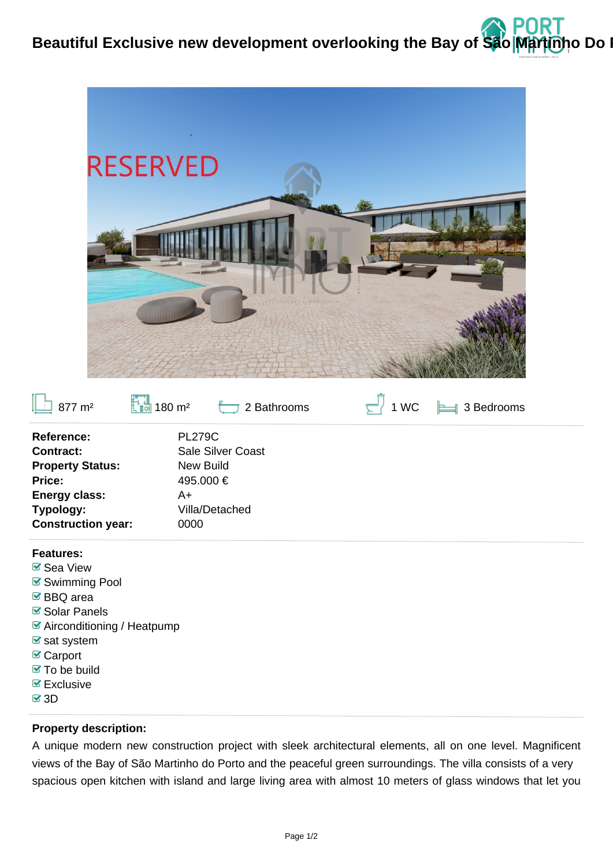



- $\triangleright$  Exclusive
- $\sqrt{3}$ 3D

## **Property description:**

A unique modern new construction project with sleek architectural elements, all on one level. Magnificent views of the Bay of São Martinho do Porto and the peaceful green surroundings. The villa consists of a very spacious open kitchen with island and large living area with almost 10 meters of glass windows that let you